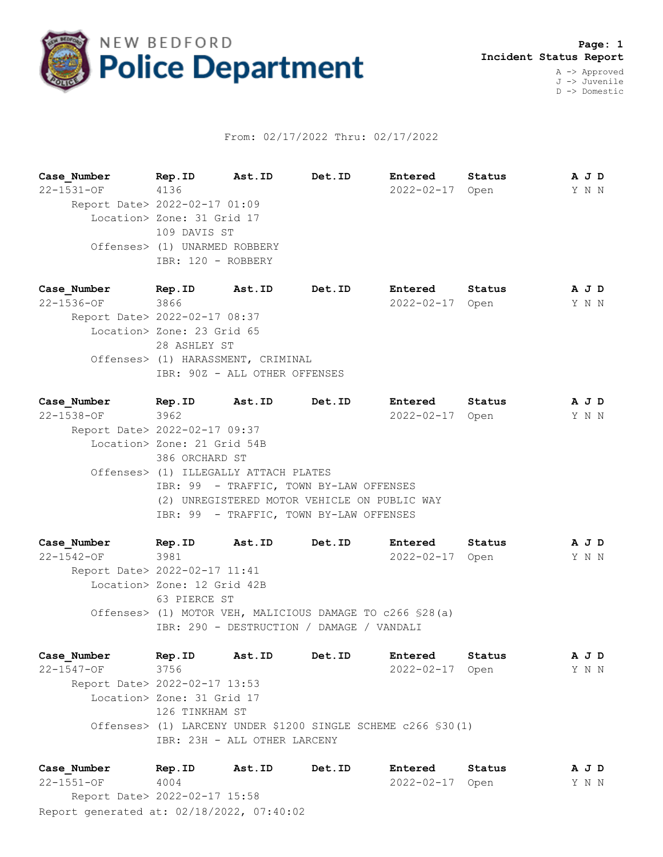

## From: 02/17/2022 Thru: 02/17/2022

| Case Number                   | Rep.ID       | Ast.ID                        | Det.ID | Entered    | Status |  | A J D |
|-------------------------------|--------------|-------------------------------|--------|------------|--------|--|-------|
| $22 - 1531 - OF$              | 4136         |                               |        | 2022-02-17 | Open   |  | Y N N |
| Report Date> 2022-02-17 01:09 |              |                               |        |            |        |  |       |
| Location> Zone: 31 Grid 17    |              |                               |        |            |        |  |       |
|                               | 109 DAVIS ST |                               |        |            |        |  |       |
|                               |              | Offenses> (1) UNARMED ROBBERY |        |            |        |  |       |
|                               |              | IBR: 120 - ROBBERY            |        |            |        |  |       |
|                               |              |                               |        |            |        |  |       |

**Case\_Number Rep.ID Ast.ID Det.ID Entered Status A J D** 22-1536-OF 3866 2022-02-17 Open Y N N Report Date> 2022-02-17 08:37 Location> Zone: 23 Grid 65 28 ASHLEY ST Offenses> (1) HARASSMENT, CRIMINAL IBR: 90Z - ALL OTHER OFFENSES

**Case\_Number Rep.ID Ast.ID Det.ID Entered Status A J D** 22-1538-OF 3962 2022-02-17 Open Y N N Report Date> 2022-02-17 09:37 Location> Zone: 21 Grid 54B 386 ORCHARD ST Offenses> (1) ILLEGALLY ATTACH PLATES IBR: 99 - TRAFFIC, TOWN BY-LAW OFFENSES (2) UNREGISTERED MOTOR VEHICLE ON PUBLIC WAY IBR: 99 - TRAFFIC, TOWN BY-LAW OFFENSES

**Case\_Number Rep.ID Ast.ID Det.ID Entered Status A J D** 22-1542-OF 3981 2022-02-17 Open Y N N Report Date> 2022-02-17 11:41 Location> Zone: 12 Grid 42B 63 PIERCE ST Offenses> (1) MOTOR VEH, MALICIOUS DAMAGE TO c266 §28(a) IBR: 290 - DESTRUCTION / DAMAGE / VANDALI

**Case\_Number Rep.ID Ast.ID Det.ID Entered Status A J D** 22-1547-OF 3756 2022-02-17 Open Y N N Report Date> 2022-02-17 13:53 Location> Zone: 31 Grid 17 126 TINKHAM ST Offenses> (1) LARCENY UNDER \$1200 SINGLE SCHEME c266 §30(1) IBR: 23H - ALL OTHER LARCENY

Report generated at: 02/18/2022, 07:40:02 **Case\_Number Rep.ID Ast.ID Det.ID Entered Status A J D** 22-1551-OF 4004 2022-02-17 Open Y N N Report Date> 2022-02-17 15:58